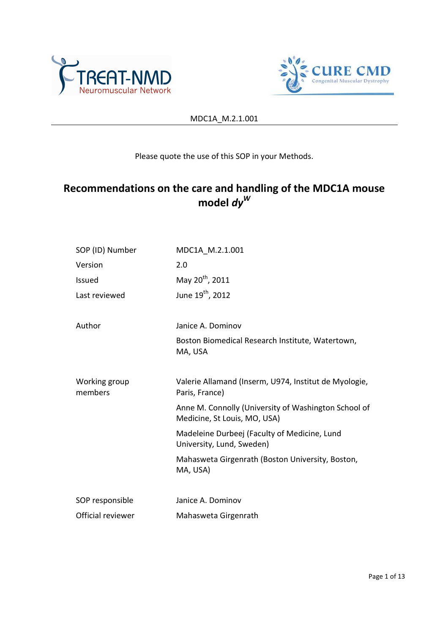



# Please quote the use of this SOP in your Methods.

# **Recommendations on the care and handling of the MDC1A mouse model** *dy<sup>W</sup>*

| SOP (ID) Number          | MDC1A M.2.1.001                                                                      |  |  |
|--------------------------|--------------------------------------------------------------------------------------|--|--|
| Version                  | 2.0                                                                                  |  |  |
| <b>Issued</b>            | May 20 <sup>th</sup> , 2011                                                          |  |  |
| Last reviewed            | June 19 <sup>th</sup> , 2012                                                         |  |  |
| Author                   | Janice A. Dominov                                                                    |  |  |
|                          | Boston Biomedical Research Institute, Watertown,<br>MA, USA                          |  |  |
| Working group<br>members | Valerie Allamand (Inserm, U974, Institut de Myologie,<br>Paris, France)              |  |  |
|                          | Anne M. Connolly (University of Washington School of<br>Medicine, St Louis, MO, USA) |  |  |
|                          | Madeleine Durbeej (Faculty of Medicine, Lund<br>University, Lund, Sweden)            |  |  |
|                          | Mahasweta Girgenrath (Boston University, Boston,<br>MA, USA)                         |  |  |
| SOP responsible          | Janice A. Dominov                                                                    |  |  |
| Official reviewer        | Mahasweta Girgenrath                                                                 |  |  |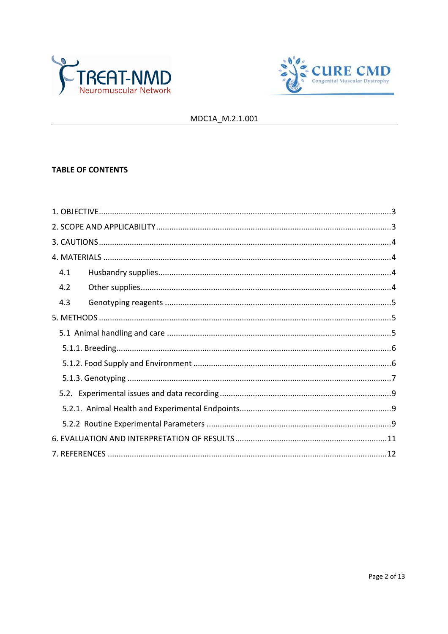



# **TABLE OF CONTENTS**

| 4.1 |  |
|-----|--|
| 4.2 |  |
| 4.3 |  |
|     |  |
|     |  |
|     |  |
|     |  |
|     |  |
|     |  |
|     |  |
|     |  |
|     |  |
|     |  |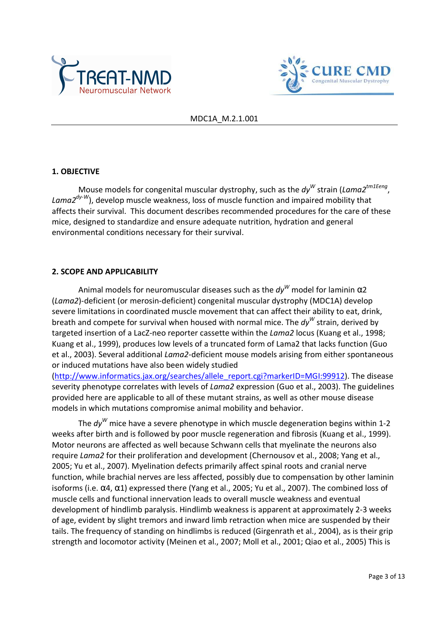



#### **1. OBJECTIVE**

Mouse models for congenital muscular dystrophy, such as the  $dy^W$  strain (Lama2<sup>tm1Eeng</sup>, *Lama2dy-W*), develop muscle weakness, loss of muscle function and impaired mobility that affects their survival. This document describes recommended procedures for the care of these mice, designed to standardize and ensure adequate nutrition, hydration and general environmental conditions necessary for their survival.

#### **2. SCOPE AND APPLICABILITY**

Animal models for neuromuscular diseases such as the  $dy^W$  model for laminin α2 (*Lama2*)-deficient (or merosin-deficient) congenital muscular dystrophy (MDC1A) develop severe limitations in coordinated muscle movement that can affect their ability to eat, drink, breath and compete for survival when housed with normal mice. The *dy<sup>W</sup>* strain, derived by targeted insertion of a LacZ-neo reporter cassette within the *Lama2* locus (Kuang et al., 1998; Kuang et al., 1999), produces low levels of a truncated form of Lama2 that lacks function (Guo et al., 2003). Several additional *Lama2*-deficient mouse models arising from either spontaneous or induced mutations have also been widely studied

(http://www.informatics.jax.org/searches/allele\_report.cgi?markerID=MGI:99912). The disease severity phenotype correlates with levels of *Lama2* expression (Guo et al., 2003). The guidelines provided here are applicable to all of these mutant strains, as well as other mouse disease models in which mutations compromise animal mobility and behavior.

The *dy<sup>W</sup>* mice have a severe phenotype in which muscle degeneration begins within 1-2 weeks after birth and is followed by poor muscle regeneration and fibrosis (Kuang et al., 1999). Motor neurons are affected as well because Schwann cells that myelinate the neurons also require *Lama2* for their proliferation and development (Chernousov et al., 2008; Yang et al., 2005; Yu et al., 2007). Myelination defects primarily affect spinal roots and cranial nerve function, while brachial nerves are less affected, possibly due to compensation by other laminin isoforms (i.e.  $\alpha$ 4,  $\alpha$ 1) expressed there (Yang et al., 2005; Yu et al., 2007). The combined loss of muscle cells and functional innervation leads to overall muscle weakness and eventual development of hindlimb paralysis. Hindlimb weakness is apparent at approximately 2-3 weeks of age, evident by slight tremors and inward limb retraction when mice are suspended by their tails. The frequency of standing on hindlimbs is reduced (Girgenrath et al., 2004), as is their grip strength and locomotor activity (Meinen et al., 2007; Moll et al., 2001; Qiao et al., 2005) This is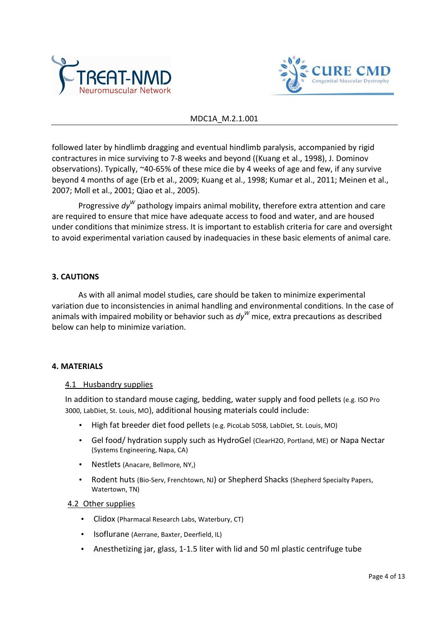



followed later by hindlimb dragging and eventual hindlimb paralysis, accompanied by rigid contractures in mice surviving to 7-8 weeks and beyond ((Kuang et al., 1998), J. Dominov observations). Typically, ~40-65% of these mice die by 4 weeks of age and few, if any survive beyond 4 months of age (Erb et al., 2009; Kuang et al., 1998; Kumar et al., 2011; Meinen et al., 2007; Moll et al., 2001; Qiao et al., 2005).

Progressive  $dy^W$  pathology impairs animal mobility, therefore extra attention and care are required to ensure that mice have adequate access to food and water, and are housed under conditions that minimize stress. It is important to establish criteria for care and oversight to avoid experimental variation caused by inadequacies in these basic elements of animal care.

#### **3. CAUTIONS**

 As with all animal model studies, care should be taken to minimize experimental variation due to inconsistencies in animal handling and environmental conditions. In the case of animals with impaired mobility or behavior such as *dy<sup>W</sup>* mice, extra precautions as described below can help to minimize variation.

#### **4. MATERIALS**

#### 4.1 Husbandry supplies

In addition to standard mouse caging, bedding, water supply and food pellets (e.g. ISO Pro 3000, LabDiet, St. Louis, MO), additional housing materials could include:

- High fat breeder diet food pellets (e.g. PicoLab 5058, LabDiet, St. Louis, MO)
- Gel food/ hydration supply such as HydroGel (ClearH2O, Portland, ME) or Napa Nectar (Systems Engineering, Napa, CA)
- Nestlets (Anacare, Bellmore, NY,)
- Rodent huts (Bio-Serv, Frenchtown, NJ) or Shepherd Shacks (Shepherd Specialty Papers, Watertown, TN)

#### 4.2 Other supplies

- Clidox (Pharmacal Research Labs, Waterbury, CT)
- Isoflurane (Aerrane, Baxter, Deerfield, IL)
- Anesthetizing jar, glass, 1-1.5 liter with lid and 50 ml plastic centrifuge tube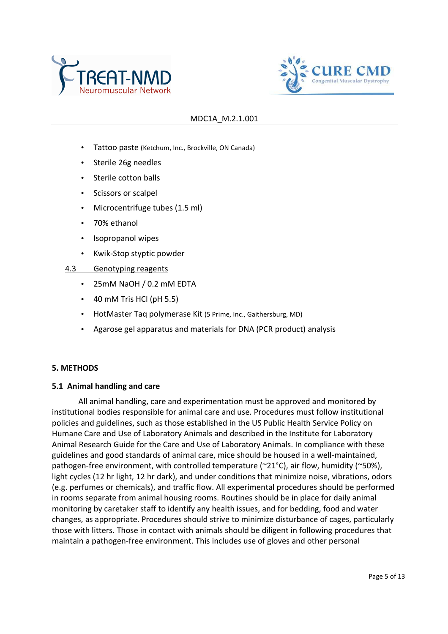



- Tattoo paste (Ketchum, Inc., Brockville, ON Canada)
- Sterile 26g needles
- Sterile cotton balls
- Scissors or scalpel
- Microcentrifuge tubes (1.5 ml)
- 70% ethanol
- Isopropanol wipes
- Kwik-Stop styptic powder
- 4.3 Genotyping reagents
	- 25mM NaOH / 0.2 mM EDTA
	- $\bullet$  40 mM Tris HCl (pH 5.5)
	- HotMaster Taq polymerase Kit (5 Prime, Inc., Gaithersburg, MD)
	- Agarose gel apparatus and materials for DNA (PCR product) analysis

#### **5. METHODS**

#### **5.1 Animal handling and care**

 All animal handling, care and experimentation must be approved and monitored by institutional bodies responsible for animal care and use. Procedures must follow institutional policies and guidelines, such as those established in the US Public Health Service Policy on Humane Care and Use of Laboratory Animals and described in the Institute for Laboratory Animal Research Guide for the Care and Use of Laboratory Animals. In compliance with these guidelines and good standards of animal care, mice should be housed in a well-maintained, pathogen-free environment, with controlled temperature (~21°C), air flow, humidity (~50%), light cycles (12 hr light, 12 hr dark), and under conditions that minimize noise, vibrations, odors (e.g. perfumes or chemicals), and traffic flow. All experimental procedures should be performed in rooms separate from animal housing rooms. Routines should be in place for daily animal monitoring by caretaker staff to identify any health issues, and for bedding, food and water changes, as appropriate. Procedures should strive to minimize disturbance of cages, particularly those with litters. Those in contact with animals should be diligent in following procedures that maintain a pathogen-free environment. This includes use of gloves and other personal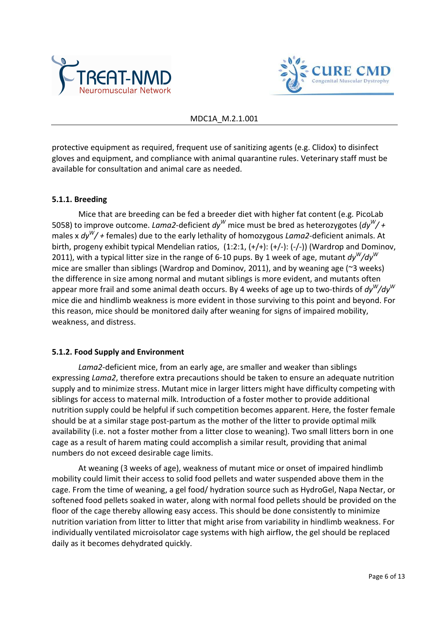



protective equipment as required, frequent use of sanitizing agents (e.g. Clidox) to disinfect gloves and equipment, and compliance with animal quarantine rules. Veterinary staff must be available for consultation and animal care as needed.

## **5.1.1. Breeding**

 Mice that are breeding can be fed a breeder diet with higher fat content (e.g. PicoLab 5058) to improve outcome. *Lama2*-deficient *dy<sup>W</sup>* mice must be bred as heterozygotes (*dy<sup>W</sup> / +* males x *dy<sup>W</sup> / +* females) due to the early lethality of homozygous *Lama2*-deficient animals. At birth, progeny exhibit typical Mendelian ratios,  $(1:2:1, (+/+): (+/-))$  (Wardrop and Dominov, 2011), with a typical litter size in the range of 6-10 pups. By 1 week of age, mutant *dy<sup>W</sup> /dy<sup>W</sup>* mice are smaller than siblings (Wardrop and Dominov, 2011), and by weaning age (~3 weeks) the difference in size among normal and mutant siblings is more evident, and mutants often appear more frail and some animal death occurs. By 4 weeks of age up to two-thirds of *dy<sup>W</sup> /dy<sup>W</sup>* mice die and hindlimb weakness is more evident in those surviving to this point and beyond. For this reason, mice should be monitored daily after weaning for signs of impaired mobility, weakness, and distress.

## **5.1.2. Food Supply and Environment**

*Lama2*-deficient mice, from an early age, are smaller and weaker than siblings expressing *Lama2*, therefore extra precautions should be taken to ensure an adequate nutrition supply and to minimize stress. Mutant mice in larger litters might have difficulty competing with siblings for access to maternal milk. Introduction of a foster mother to provide additional nutrition supply could be helpful if such competition becomes apparent. Here, the foster female should be at a similar stage post-partum as the mother of the litter to provide optimal milk availability (i.e. not a foster mother from a litter close to weaning). Two small litters born in one cage as a result of harem mating could accomplish a similar result, providing that animal numbers do not exceed desirable cage limits.

At weaning (3 weeks of age), weakness of mutant mice or onset of impaired hindlimb mobility could limit their access to solid food pellets and water suspended above them in the cage. From the time of weaning, a gel food/ hydration source such as HydroGel, Napa Nectar, or softened food pellets soaked in water, along with normal food pellets should be provided on the floor of the cage thereby allowing easy access. This should be done consistently to minimize nutrition variation from litter to litter that might arise from variability in hindlimb weakness. For individually ventilated microisolator cage systems with high airflow, the gel should be replaced daily as it becomes dehydrated quickly.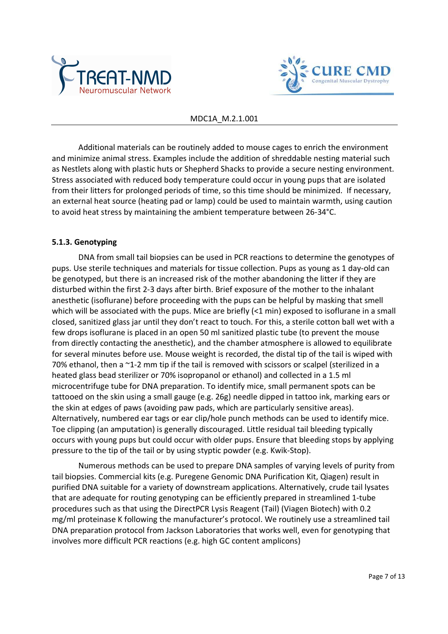



 Additional materials can be routinely added to mouse cages to enrich the environment and minimize animal stress. Examples include the addition of shreddable nesting material such as Nestlets along with plastic huts or Shepherd Shacks to provide a secure nesting environment. Stress associated with reduced body temperature could occur in young pups that are isolated from their litters for prolonged periods of time, so this time should be minimized. If necessary, an external heat source (heating pad or lamp) could be used to maintain warmth, using caution to avoid heat stress by maintaining the ambient temperature between 26-34°C.

## **5.1.3. Genotyping**

DNA from small tail biopsies can be used in PCR reactions to determine the genotypes of pups. Use sterile techniques and materials for tissue collection. Pups as young as 1 day-old can be genotyped, but there is an increased risk of the mother abandoning the litter if they are disturbed within the first 2-3 days after birth. Brief exposure of the mother to the inhalant anesthetic (isoflurane) before proceeding with the pups can be helpful by masking that smell which will be associated with the pups. Mice are briefly (<1 min) exposed to isoflurane in a small closed, sanitized glass jar until they don't react to touch. For this, a sterile cotton ball wet with a few drops isoflurane is placed in an open 50 ml sanitized plastic tube (to prevent the mouse from directly contacting the anesthetic), and the chamber atmosphere is allowed to equilibrate for several minutes before use. Mouse weight is recorded, the distal tip of the tail is wiped with 70% ethanol, then a ~1-2 mm tip if the tail is removed with scissors or scalpel (sterilized in a heated glass bead sterilizer or 70% isopropanol or ethanol) and collected in a 1.5 ml microcentrifuge tube for DNA preparation. To identify mice, small permanent spots can be tattooed on the skin using a small gauge (e.g. 26g) needle dipped in tattoo ink, marking ears or the skin at edges of paws (avoiding paw pads, which are particularly sensitive areas). Alternatively, numbered ear tags or ear clip/hole punch methods can be used to identify mice. Toe clipping (an amputation) is generally discouraged. Little residual tail bleeding typically occurs with young pups but could occur with older pups. Ensure that bleeding stops by applying pressure to the tip of the tail or by using styptic powder (e.g. Kwik-Stop).

 Numerous methods can be used to prepare DNA samples of varying levels of purity from tail biopsies. Commercial kits (e.g. Puregene Genomic DNA Purification Kit, Qiagen) result in purified DNA suitable for a variety of downstream applications. Alternatively, crude tail lysates that are adequate for routing genotyping can be efficiently prepared in streamlined 1-tube procedures such as that using the DirectPCR Lysis Reagent (Tail) (Viagen Biotech) with 0.2 mg/ml proteinase K following the manufacturer's protocol. We routinely use a streamlined tail DNA preparation protocol from Jackson Laboratories that works well, even for genotyping that involves more difficult PCR reactions (e.g. high GC content amplicons)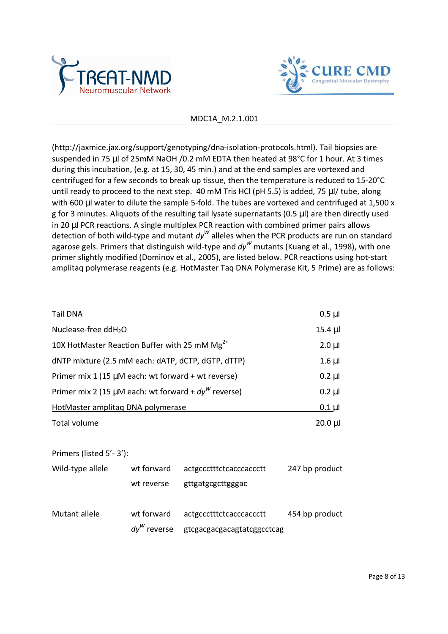



(http://jaxmice.jax.org/support/genotyping/dna-isolation-protocols.html). Tail biopsies are suspended in 75 µl of 25mM NaOH /0.2 mM EDTA then heated at 98°C for 1 hour. At 3 times during this incubation, (e.g. at 15, 30, 45 min.) and at the end samples are vortexed and centrifuged for a few seconds to break up tissue, then the temperature is reduced to 15-20°C until ready to proceed to the next step. 40 mM Tris HCl (pH 5.5) is added, 75 µl/ tube, along with 600 µl water to dilute the sample 5-fold. The tubes are vortexed and centrifuged at 1,500 x g for 3 minutes. Aliquots of the resulting tail lysate supernatants (0.5 µl) are then directly used in 20 µl PCR reactions. A single multiplex PCR reaction with combined primer pairs allows detection of both wild-type and mutant  $dy^W$  alleles when the PCR products are run on standard agarose gels. Primers that distinguish wild-type and *dy<sup>W</sup>* mutants (Kuang et al., 1998), with one primer slightly modified (Dominov et al., 2005), are listed below. PCR reactions using hot-start amplitaq polymerase reagents (e.g. HotMaster Taq DNA Polymerase Kit, 5 Prime) are as follows:

| <b>Tail DNA</b>                                             | $0.5$ $\mu$ |
|-------------------------------------------------------------|-------------|
| Nuclease-free ddH <sub>2</sub> O                            | $15.4 \mu$  |
| 10X HotMaster Reaction Buffer with 25 mM Mg <sup>2+</sup>   | $2.0 \mu$   |
| dNTP mixture (2.5 mM each: dATP, dCTP, dGTP, dTTP)          | $1.6$ µl    |
| Primer mix 1 (15 µM each: wt forward + wt reverse)          | $0.2 \mu$   |
| Primer mix 2 (15 $\mu$ M each: wt forward + $dy^W$ reverse) | $0.2 \mu$   |
| HotMaster amplitag DNA polymerase                           | $0.1$ µl    |
| Total volume                                                | $20.0 \mu$  |

Primers (listed 5'- 3'):

| Wild-type allele | wt forward     | actgccctttctcacccaccctt    | 247 bp product |
|------------------|----------------|----------------------------|----------------|
|                  | wt reverse     | gttgatgcgcttgggac          |                |
| Mutant allele    | wt forward     | actgccctttctcacccaccctt    | 454 bp product |
|                  | $dy^W$ reverse | gtcgacgacgacagtatcggcctcag |                |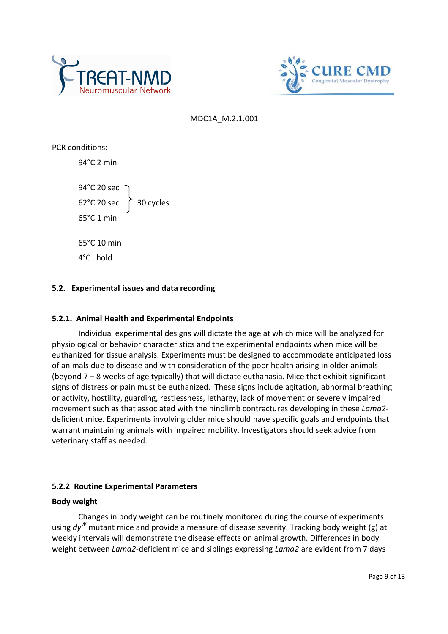



PCR conditions: 94°C 2 min 94°C 20 sec  $62^{\circ}$ C 20 sec  $\int$  30 cycles 65°C 1 min 65°C 10 min 4°C hold

## **5.2. Experimental issues and data recording**

#### **5.2.1. Animal Health and Experimental Endpoints**

Individual experimental designs will dictate the age at which mice will be analyzed for physiological or behavior characteristics and the experimental endpoints when mice will be euthanized for tissue analysis. Experiments must be designed to accommodate anticipated loss of animals due to disease and with consideration of the poor health arising in older animals (beyond 7 – 8 weeks of age typically) that will dictate euthanasia. Mice that exhibit significant signs of distress or pain must be euthanized. These signs include agitation, abnormal breathing or activity, hostility, guarding, restlessness, lethargy, lack of movement or severely impaired movement such as that associated with the hindlimb contractures developing in these *Lama2* deficient mice. Experiments involving older mice should have specific goals and endpoints that warrant maintaining animals with impaired mobility. Investigators should seek advice from veterinary staff as needed.

## **5.2.2 Routine Experimental Parameters**

#### **Body weight**

Changes in body weight can be routinely monitored during the course of experiments using *dy<sup>W</sup>* mutant mice and provide a measure of disease severity. Tracking body weight (g) at weekly intervals will demonstrate the disease effects on animal growth. Differences in body weight between *Lama2*-deficient mice and siblings expressing *Lama2* are evident from 7 days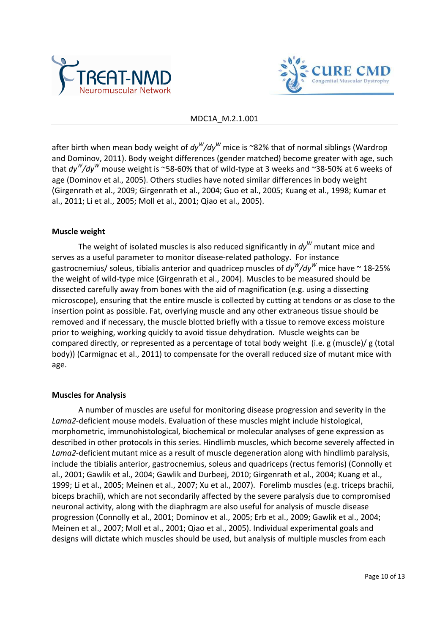



after birth when mean body weight of  $dy^W$ /dy $^W$  mice is ~82% that of normal siblings (Wardrop and Dominov, 2011). Body weight differences (gender matched) become greater with age, such that *dy<sup>W</sup> /dy<sup>W</sup>* mouse weight is ~58-60% that of wild-type at 3 weeks and ~38-50% at 6 weeks of age (Dominov et al., 2005). Others studies have noted similar differences in body weight (Girgenrath et al., 2009; Girgenrath et al., 2004; Guo et al., 2005; Kuang et al., 1998; Kumar et al., 2011; Li et al., 2005; Moll et al., 2001; Qiao et al., 2005).

#### **Muscle weight**

The weight of isolated muscles is also reduced significantly in  $dy^W$  mutant mice and serves as a useful parameter to monitor disease-related pathology. For instance gastrocnemius/ soleus, tibialis anterior and quadricep muscles of *dy<sup>W</sup> /dy<sup>W</sup>* mice have ~ 18-25% the weight of wild-type mice (Girgenrath et al., 2004). Muscles to be measured should be dissected carefully away from bones with the aid of magnification (e.g. using a dissecting microscope), ensuring that the entire muscle is collected by cutting at tendons or as close to the insertion point as possible. Fat, overlying muscle and any other extraneous tissue should be removed and if necessary, the muscle blotted briefly with a tissue to remove excess moisture prior to weighing, working quickly to avoid tissue dehydration. Muscle weights can be compared directly, or represented as a percentage of total body weight (i.e. g (muscle)/ g (total body)) (Carmignac et al., 2011) to compensate for the overall reduced size of mutant mice with age.

## **Muscles for Analysis**

 A number of muscles are useful for monitoring disease progression and severity in the *Lama2*-deficient mouse models. Evaluation of these muscles might include histological, morphometric, immunohistological, biochemical or molecular analyses of gene expression as described in other protocols in this series. Hindlimb muscles, which become severely affected in Lama2-deficient mutant mice as a result of muscle degeneration along with hindlimb paralysis, include the tibialis anterior, gastrocnemius, soleus and quadriceps (rectus femoris) (Connolly et al., 2001; Gawlik et al., 2004; Gawlik and Durbeej, 2010; Girgenrath et al., 2004; Kuang et al., 1999; Li et al., 2005; Meinen et al., 2007; Xu et al., 2007). Forelimb muscles (e.g. triceps brachii, biceps brachii), which are not secondarily affected by the severe paralysis due to compromised neuronal activity, along with the diaphragm are also useful for analysis of muscle disease progression (Connolly et al., 2001; Dominov et al., 2005; Erb et al., 2009; Gawlik et al., 2004; Meinen et al., 2007; Moll et al., 2001; Qiao et al., 2005). Individual experimental goals and designs will dictate which muscles should be used, but analysis of multiple muscles from each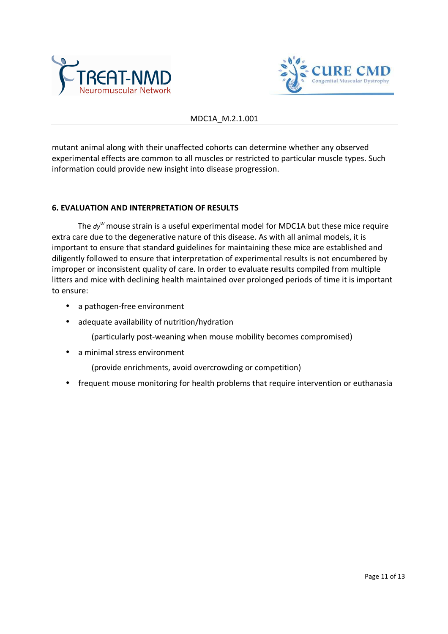



mutant animal along with their unaffected cohorts can determine whether any observed experimental effects are common to all muscles or restricted to particular muscle types. Such information could provide new insight into disease progression.

#### **6. EVALUATION AND INTERPRETATION OF RESULTS**

The *dy<sup>W</sup>* mouse strain is a useful experimental model for MDC1A but these mice require extra care due to the degenerative nature of this disease. As with all animal models, it is important to ensure that standard guidelines for maintaining these mice are established and diligently followed to ensure that interpretation of experimental results is not encumbered by improper or inconsistent quality of care. In order to evaluate results compiled from multiple litters and mice with declining health maintained over prolonged periods of time it is important to ensure:

- a pathogen-free environment
- adequate availability of nutrition/hydration

(particularly post-weaning when mouse mobility becomes compromised)

• a minimal stress environment

(provide enrichments, avoid overcrowding or competition)

• frequent mouse monitoring for health problems that require intervention or euthanasia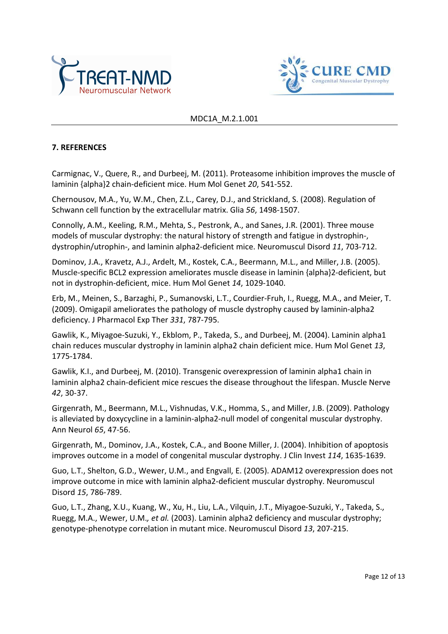



## **7. REFERENCES**

Carmignac, V., Quere, R., and Durbeej, M. (2011). Proteasome inhibition improves the muscle of laminin {alpha}2 chain-deficient mice. Hum Mol Genet *20*, 541-552.

Chernousov, M.A., Yu, W.M., Chen, Z.L., Carey, D.J., and Strickland, S. (2008). Regulation of Schwann cell function by the extracellular matrix. Glia *56*, 1498-1507.

Connolly, A.M., Keeling, R.M., Mehta, S., Pestronk, A., and Sanes, J.R. (2001). Three mouse models of muscular dystrophy: the natural history of strength and fatigue in dystrophin-, dystrophin/utrophin-, and laminin alpha2-deficient mice. Neuromuscul Disord *11*, 703-712.

Dominov, J.A., Kravetz, A.J., Ardelt, M., Kostek, C.A., Beermann, M.L., and Miller, J.B. (2005). Muscle-specific BCL2 expression ameliorates muscle disease in laminin {alpha}2-deficient, but not in dystrophin-deficient, mice. Hum Mol Genet *14*, 1029-1040.

Erb, M., Meinen, S., Barzaghi, P., Sumanovski, L.T., Courdier-Fruh, I., Ruegg, M.A., and Meier, T. (2009). Omigapil ameliorates the pathology of muscle dystrophy caused by laminin-alpha2 deficiency. J Pharmacol Exp Ther *331*, 787-795.

Gawlik, K., Miyagoe-Suzuki, Y., Ekblom, P., Takeda, S., and Durbeej, M. (2004). Laminin alpha1 chain reduces muscular dystrophy in laminin alpha2 chain deficient mice. Hum Mol Genet *13*, 1775-1784.

Gawlik, K.I., and Durbeej, M. (2010). Transgenic overexpression of laminin alpha1 chain in laminin alpha2 chain-deficient mice rescues the disease throughout the lifespan. Muscle Nerve *42*, 30-37.

Girgenrath, M., Beermann, M.L., Vishnudas, V.K., Homma, S., and Miller, J.B. (2009). Pathology is alleviated by doxycycline in a laminin-alpha2-null model of congenital muscular dystrophy. Ann Neurol *65*, 47-56.

Girgenrath, M., Dominov, J.A., Kostek, C.A., and Boone Miller, J. (2004). Inhibition of apoptosis improves outcome in a model of congenital muscular dystrophy. J Clin Invest *114*, 1635-1639.

Guo, L.T., Shelton, G.D., Wewer, U.M., and Engvall, E. (2005). ADAM12 overexpression does not improve outcome in mice with laminin alpha2-deficient muscular dystrophy. Neuromuscul Disord *15*, 786-789.

Guo, L.T., Zhang, X.U., Kuang, W., Xu, H., Liu, L.A., Vilquin, J.T., Miyagoe-Suzuki, Y., Takeda, S., Ruegg, M.A., Wewer, U.M.*, et al.* (2003). Laminin alpha2 deficiency and muscular dystrophy; genotype-phenotype correlation in mutant mice. Neuromuscul Disord *13*, 207-215.